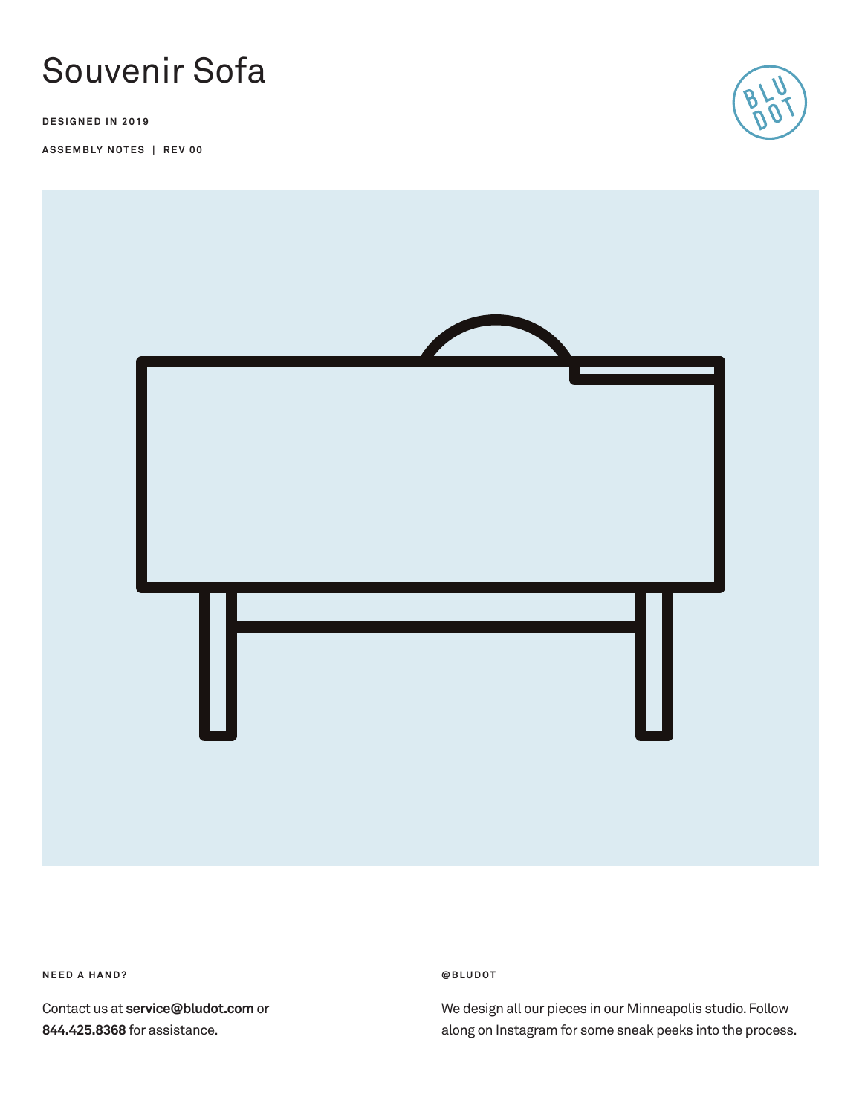

**DESIGNED IN 2019**

**ASSEMBLY NOTES | REV 00**





**NEED A HAND?** 

Contact us at **service@bludot.com** or **844.425.8368** for assistance.

**@ B L U D O T** 

We design all our pieces in our Minneapolis studio. Follow along on Instagram for some sneak peeks into the process.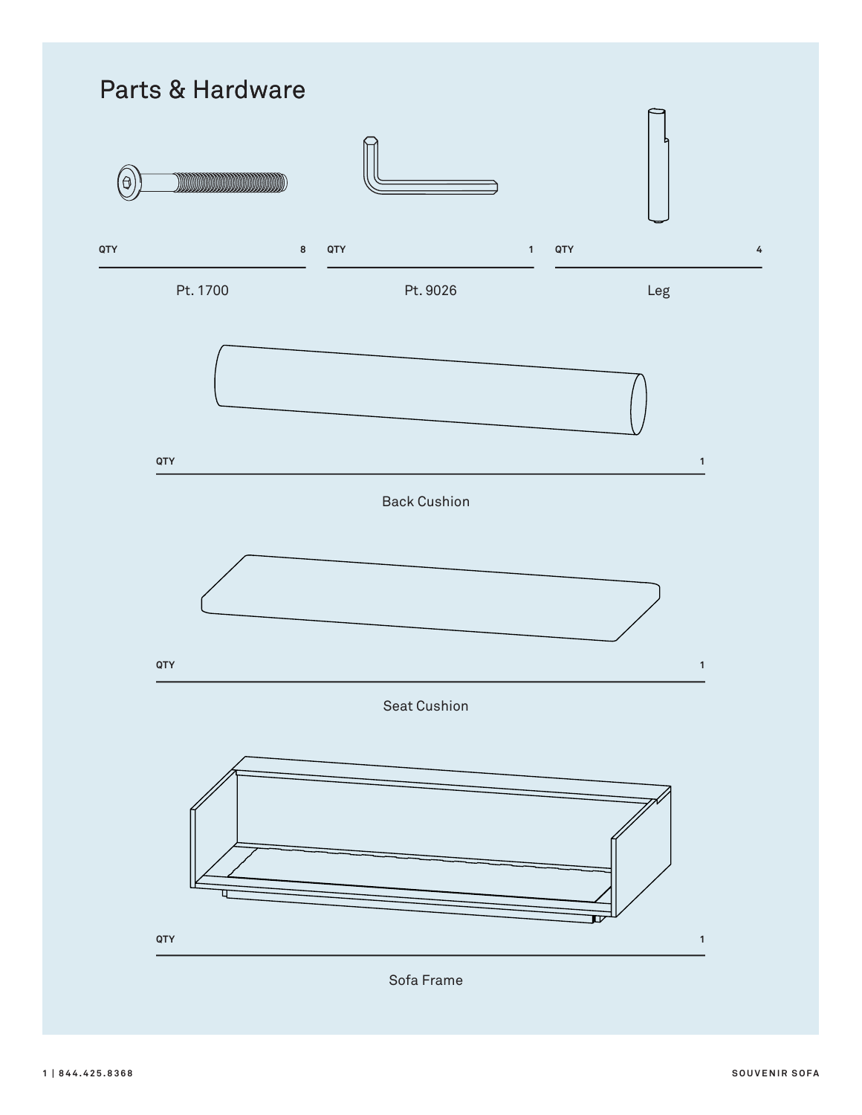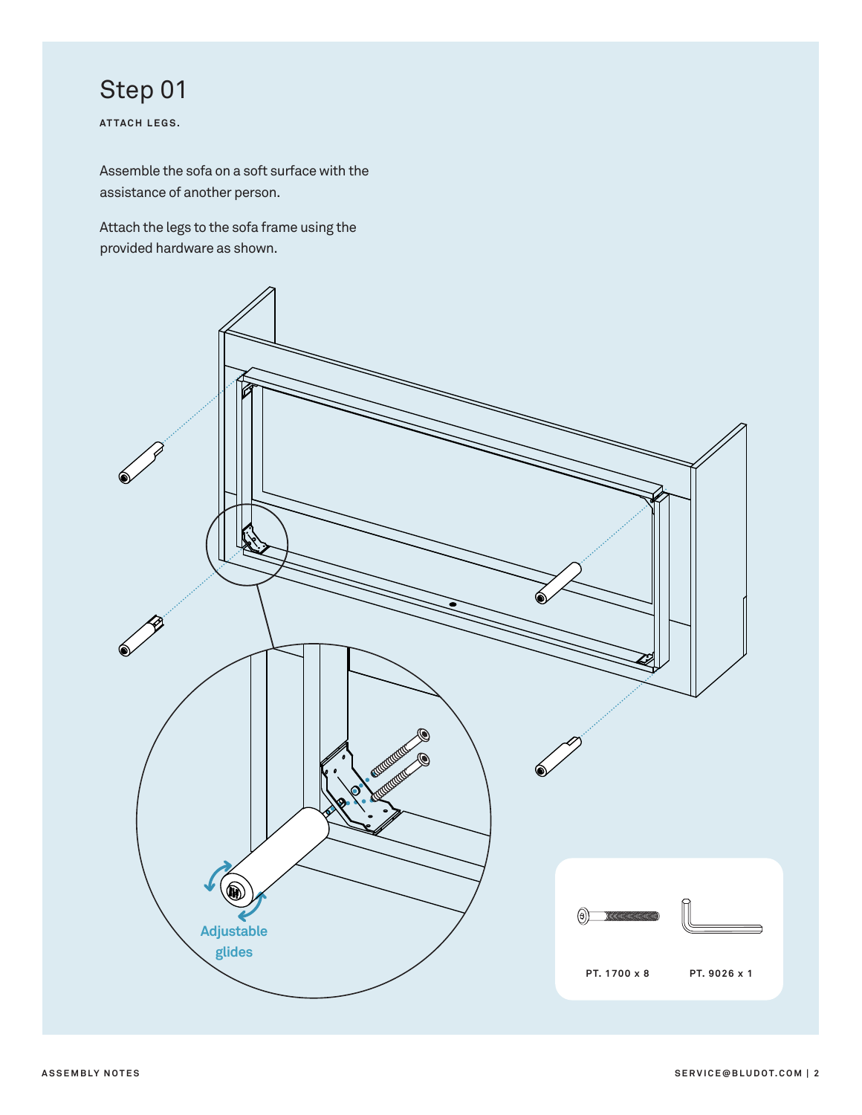# Step 01

**ATTACH LEGS.**

Assemble the sofa on a soft surface with the assistance of another person.

Attach the legs to the sofa frame using the provided hardware as shown.